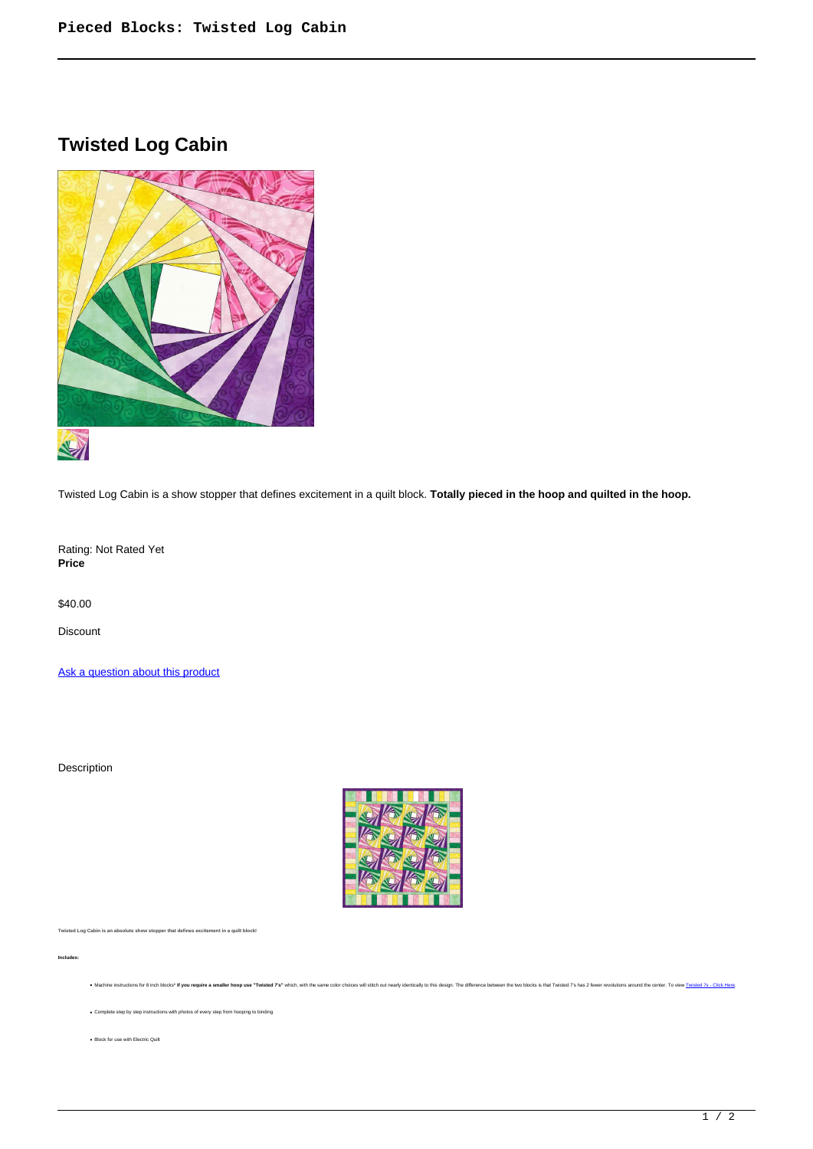## **Twisted Log Cabin**



Twisted Log Cabin is a show stopper that defines excitement in a quilt block. **Totally pieced in the hoop and quilted in the hoop.**

Rating: Not Rated Yet **Price** 

\$40.00

Discount

[Ask a question about this product](https://www.queenofstitching.com/index.php?option=com_virtuemart&view=productdetails&task=askquestion&virtuemart_product_id=209&virtuemart_category_id=12&tmpl=component)

Description



. Machine instructions for 8 inch blocks" If you require a smaller hoop use "Twisted 7's" which, with the same color choices will stitch out nearly identically to this design. The difference between the two blocks is that

**Twisted Log Cabin is an absolute show stopper that defines excitement in a quilt block!**

**Includes:**

Complete step by step instructions with photos of every step from hooping to binding

Block for use with Electric Quilt